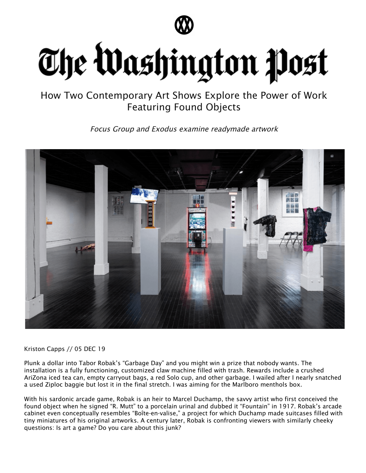

## The Washington Post

How Two Contemporary Art Shows Explore the Power of Work Featuring Found Objects

Focus Group and Exodus examine readymade artwork



Kriston Capps // 05 DEC 19

Plunk a dollar into Tabor Robak's "Garbage Day" and you might win a prize that nobody wants. The installation is a fully functioning, customized claw machine filled with trash. Rewards include a crushed AriZona iced tea can, empty carryout bags, a red Solo cup, and other garbage. I wailed after I nearly snatched a used Ziploc baggie but lost it in the final stretch. I was aiming for the Marlboro menthols box.

With his sardonic arcade game, Robak is an heir to Marcel Duchamp, the savvy artist who first conceived the found object when he signed "R. Mutt" to a porcelain urinal and dubbed it "Fountain" in 1917. Robak's arcade cabinet even conceptually resembles "Boîte-en-valise," a project for which Duchamp made suitcases filled with tiny miniatures of his original artworks. A century later, Robak is confronting viewers with similarly cheeky questions: Is art a game? Do you care about this junk?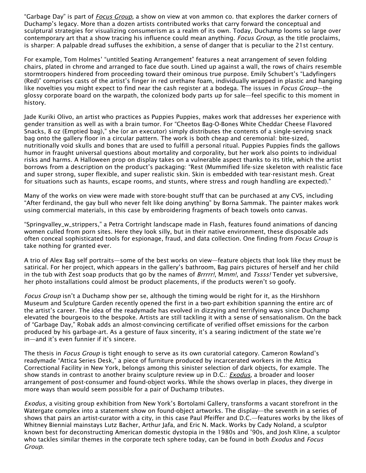"Garbage Day" is part of Focus [Group](https://www.vonammon.co/focusgroup), a show on view at von ammon co. that explores the darker corners of Duchamp's legacy. More than a dozen artists contributed works that carry forward the conceptual and sculptural strategies for visualizing consumerism as a realm of its own. Today, Duchamp looms so large over contemporary art that a show tracing his influence could mean anything. Focus Group, as the title proclaims, is sharper: A palpable dread suffuses the exhibition, a sense of danger that is peculiar to the 21st century.

For example, Tom Holmes' "untitled Seating Arrangement" features a neat arrangement of seven folding chairs, plated in chrome and arranged to face due south. Lined up against a wall, the rows of chairs resemble stormtroopers hindered from proceeding toward their ominous true purpose. Emily Schubert's "Ladyfingers (Red)" comprises casts of the artist's finger in red urethane foam, individually wrapped in plastic and hanging like novelties you might expect to find near the cash register at a bodega. The issues in *Focus Group*—the glossy corporate board on the warpath, the colonized body parts up for sale—feel specific to this moment in history.

Jade Kuriki Olivo, an artist who practices as Puppies Puppies, makes work that addresses her experience with gender transition as well as with a brain tumor. For "Cheetos Bag-O-Bones White Cheddar Cheese Flavored Snacks, 8 oz (Emptied bag)," she (or an executor) simply distributes the contents of a single-serving snack bag onto the gallery floor in a circular pattern. The work is both cheap and ceremonial: bite-sized, nutritionally void skulls and bones that are used to fulfill a personal ritual. Puppies Puppies finds the gallows humor in fraught universal questions about mortality and corporality, but her work also points to individual risks and harms. A Halloween prop on display takes on a vulnerable aspect thanks to its title, which the artist borrows from a description on the product's packaging: "Rest (Mummified life-size skeleton with realistic face and super strong, super flexible, and super realistic skin. Skin is embedded with tear-resistant mesh. Great for situations such as haunts, escape rooms, and stunts, where stress and rough handling are expected)."

Many of the works on view were made with store-bought stuff that can be purchased at any CVS, including "After ferdinand, the gay bull who never felt like doing anything" by Borna Sammak. The painter makes work using commercial materials, in this case by embroidering fragments of beach towels onto canvas.

"Springvalley\_w\_strippers," a Petra Cortright landscape made in Flash, features found animations of dancing women culled from porn sites. Here they look silly, but in their native environment, these disposable ads often conceal sophisticated tools for espionage, fraud, and data collection. One finding from Focus Group is take nothing for granted ever.

A trio of Alex Bag self portraits—some of the best works on view—feature objects that look like they must be satirical. For her project, which appears in the gallery's bathroom, Bag pairs pictures of herself and her child in the tub with Zest soap products that go by the names of Brrrrr!, Mmm!, and Tssss! Tender yet subversive, her photo installations could almost be product placements, if the products weren't so goofy.

Focus Group isn't a Duchamp show per se, although the timing would be right for it, as the Hirshhorn Museum and Sculpture Garden recently opened the first in a two-part exhibition spanning the entire arc of the artist's career. The idea of the readymade has evolved in dizzying and terrifying ways since Duchamp elevated the bourgeois to the bespoke. Artists are still tackling it with a sense of sensationalism. On the back of "Garbage Day," Robak adds an almost-convincing certificate of verified offset emissions for the carbon produced by his garbage-art. As a gesture of faux sincerity, it's a searing indictment of the state we're in—and it's even funnier if it's sincere.

The thesis in *Focus Group* is tight enough to serve as its own curatorial category. Cameron Rowland's readymade "Attica Series Desk," a piece of furniture produced by incarcerated workers in the Attica Correctional Facility in New York, belongs among this sinister selection of dark objects, for example. The show stands in contrast to another brainy sculpture review up in D.C.: *[Exodus](https://bortolamigallery.com/site/artistcities/paul-pfeiffer-washington-d-c/)*, a broader and looser arrangement of post-consumer and found-object works. While the shows overlap in places, they diverge in more ways than would seem possible for a pair of Duchamp tributes.

Exodus, a visiting group exhibition from New York's Bortolami Gallery, transforms a vacant storefront in the Watergate complex into a statement show on found-object artworks. The display—the seventh in a series of shows that pairs an artist-curator with a city, in this case Paul Pfeiffer and D.C.—features works by the likes of Whitney Biennial mainstays Lutz Bacher, Arthur Jafa, and Eric N. Mack. Works by Cady Noland, a sculptor known best for deconstructing American domestic dystopia in the 1980s and '90s, and Josh Kline, a sculptor who tackles similar themes in the corporate tech sphere today, can be found in both Exodus and Focus Group.